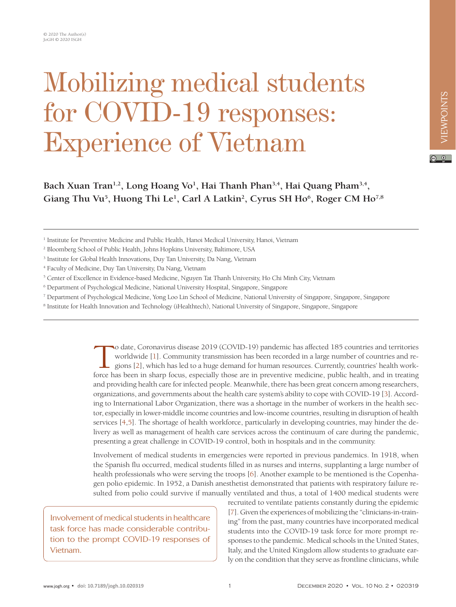## Mobilizing medical students for COVID-19 responses: Experience of Vietnam

Bach Xuan Tran<sup>1,2</sup>, Long Hoang Vo<sup>1</sup>, Hai Thanh Phan<sup>3,4</sup>, Hai Quang Pham<sup>3,4</sup>, Giang Thu Vu<sup>5</sup>, Huong Thi Le<sup>1</sup>, Carl A Latkin<sup>2</sup>, Cyrus SH Ho<sup>6</sup>, Roger CM Ho<sup>7,8</sup>

- <sup>3</sup> Institute for Global Health Innovations, Duy Tan University, Da Nang, Vietnam
- 4 Faculty of Medicine, Duy Tan University, Da Nang, Vietnam
- 5 Center of Excellence in Evidence-based Medicine, Nguyen Tat Thanh University, Ho Chi Minh City, Vietnam
- 6 Department of Psychological Medicine, National University Hospital, Singapore, Singapore
- 7 Department of Psychological Medicine, Yong Loo Lin School of Medicine, National University of Singapore, Singapore, Singapore
- <sup>8</sup> Institute for Health Innovation and Technology (iHealthtech), National University of Singapore, Singapore, Singapore

To date, Coronavirus disease 2019 (COVID-19) pandemic has affected 185 countries and territories worldwide [1]. Community transmission has been recorded in a large number of countries and regions [2], which has led to a huge demand for human resources. Currently, countries' health workforce has been in sharp focus, especially those are in preventive medicine, public health, and in treating and providing health care for infected people. Meanwhile, there has been great concern among researchers, organizations, and governments about the health care system's ability to cope with COVID-19 [\[3\]](#page-2-2). According to International Labor Organization, there was a shortage in the number of workers in the health sector, especially in lower-middle income countries and low-income countries, resulting in disruption of health services [\[4](#page-2-3)[,5](#page-2-4)]. The shortage of health workforce, particularly in developing countries, may hinder the delivery as well as management of health care services across the continuum of care during the pandemic, presenting a great challenge in COVID-19 control, both in hospitals and in the community.

Involvement of medical students in emergencies were reported in previous pandemics. In 1918, when the Spanish flu occurred, medical students filled in as nurses and interns, supplanting a large number of health professionals who were serving the troops [\[6\]](#page-2-5). Another example to be mentioned is the Copenhagen polio epidemic. In 1952, a Danish anesthetist demonstrated that patients with respiratory failure resulted from polio could survive if manually ventilated and thus, a total of 1400 medical students were

Involvement of medical students in healthcare task force has made considerable contribution to the prompt COVID-19 responses of Vietnam.

recruited to ventilate patients constantly during the epidemic [\[7](#page-2-6)]. Given the experiences of mobilizing the "clinicians-in-training" from the past, many countries have incorporated medical students into the COVID-19 task force for more prompt responses to the pandemic. Medical schools in the United States, Italy, and the United Kingdom allow students to graduate early on the condition that they serve as frontline clinicians, while

<sup>&</sup>lt;sup>1</sup> Institute for Preventive Medicine and Public Health, Hanoi Medical University, Hanoi, Vietnam

<sup>2</sup> Bloomberg School of Public Health, Johns Hopkins University, Baltimore, USA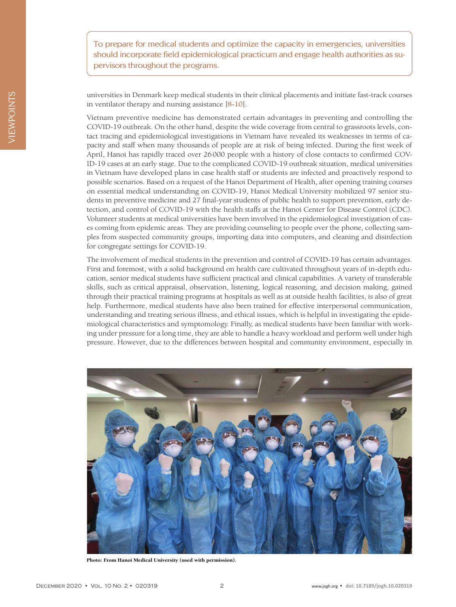To prepare for medical students and optimize the capacity in emergencies, universities should incorporate field epidemiological practicum and engage health authorities as supervisors throughout the programs.

universities in Denmark keep medical students in their clinical placements and initiate fast-track courses in ventilator therapy and nursing assistance [\[8](#page-2-7)[-10\]](#page-2-8).

Vietnam preventive medicine has demonstrated certain advantages in preventing and controlling the COVID-19 outbreak. On the other hand, despite the wide coverage from central to grassroots levels, contact tracing and epidemiological investigations in Vietnam have revealed its weaknesses in terms of capacity and staff when many thousands of people are at risk of being infected. During the first week of April, Hanoi has rapidly traced over 26000 people with a history of close contacts to confirmed COV-ID-19 cases at an early stage. Due to the complicated COVID-19 outbreak situation, medical universities in Vietnam have developed plans in case health staff or students are infected and proactively respond to possible scenarios. Based on a request of the Hanoi Department of Health, after opening training courses on essential medical understanding on COVID-19, Hanoi Medical University mobilized 97 senior students in preventive medicine and 27 final-year students of public health to support prevention, early detection, and control of COVID-19 with the health staffs at the Hanoi Center for Disease Control (CDC). Volunteer students at medical universities have been involved in the epidemiological investigation of cases coming from epidemic areas. They are providing counseling to people over the phone, collecting samples from suspected community groups, importing data into computers, and cleaning and disinfection for congregate settings for COVID-19.

The involvement of medical students in the prevention and control of COVID-19 has certain advantages. First and foremost, with a solid background on health care cultivated throughout years of in-depth education, senior medical students have sufficient practical and clinical capabilities. A variety of transferable skills, such as critical appraisal, observation, listening, logical reasoning, and decision making, gained through their practical training programs at hospitals as well as at outside health facilities, is also of great help. Furthermore, medical students have also been trained for effective interpersonal communication, understanding and treating serious illness, and ethical issues, which is helpful in investigating the epidemiological characteristics and symptomology. Finally, as medical students have been familiar with working under pressure for a long time, they are able to handle a heavy workload and perform well under high pressure. However, due to the differences between hospital and community environment, especially in



Photo: From Hanoi Medical University (used with permission).